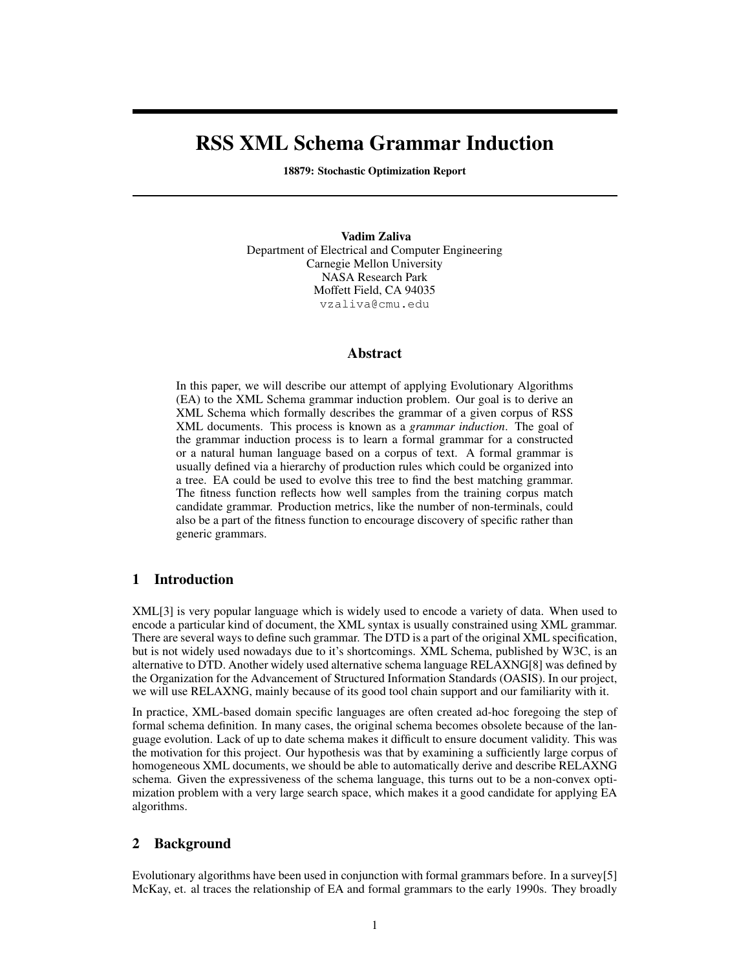# RSS XML Schema Grammar Induction

18879: Stochastic Optimization Report

Vadim Zaliva Department of Electrical and Computer Engineering Carnegie Mellon University NASA Research Park Moffett Field, CA 94035 vzaliva@cmu.edu

## Abstract

In this paper, we will describe our attempt of applying Evolutionary Algorithms (EA) to the XML Schema grammar induction problem. Our goal is to derive an XML Schema which formally describes the grammar of a given corpus of RSS XML documents. This process is known as a *grammar induction*. The goal of the grammar induction process is to learn a formal grammar for a constructed or a natural human language based on a corpus of text. A formal grammar is usually defined via a hierarchy of production rules which could be organized into a tree. EA could be used to evolve this tree to find the best matching grammar. The fitness function reflects how well samples from the training corpus match candidate grammar. Production metrics, like the number of non-terminals, could also be a part of the fitness function to encourage discovery of specific rather than generic grammars.

# 1 Introduction

XML[3] is very popular language which is widely used to encode a variety of data. When used to encode a particular kind of document, the XML syntax is usually constrained using XML grammar. There are several ways to define such grammar. The DTD is a part of the original XML specification, but is not widely used nowadays due to it's shortcomings. XML Schema, published by W3C, is an alternative to DTD. Another widely used alternative schema language RELAXNG[8] was defined by the Organization for the Advancement of Structured Information Standards (OASIS). In our project, we will use RELAXNG, mainly because of its good tool chain support and our familiarity with it.

In practice, XML-based domain specific languages are often created ad-hoc foregoing the step of formal schema definition. In many cases, the original schema becomes obsolete because of the language evolution. Lack of up to date schema makes it difficult to ensure document validity. This was the motivation for this project. Our hypothesis was that by examining a sufficiently large corpus of homogeneous XML documents, we should be able to automatically derive and describe RELAXNG schema. Given the expressiveness of the schema language, this turns out to be a non-convex optimization problem with a very large search space, which makes it a good candidate for applying EA algorithms.

## 2 Background

Evolutionary algorithms have been used in conjunction with formal grammars before. In a survey[5] McKay, et. al traces the relationship of EA and formal grammars to the early 1990s. They broadly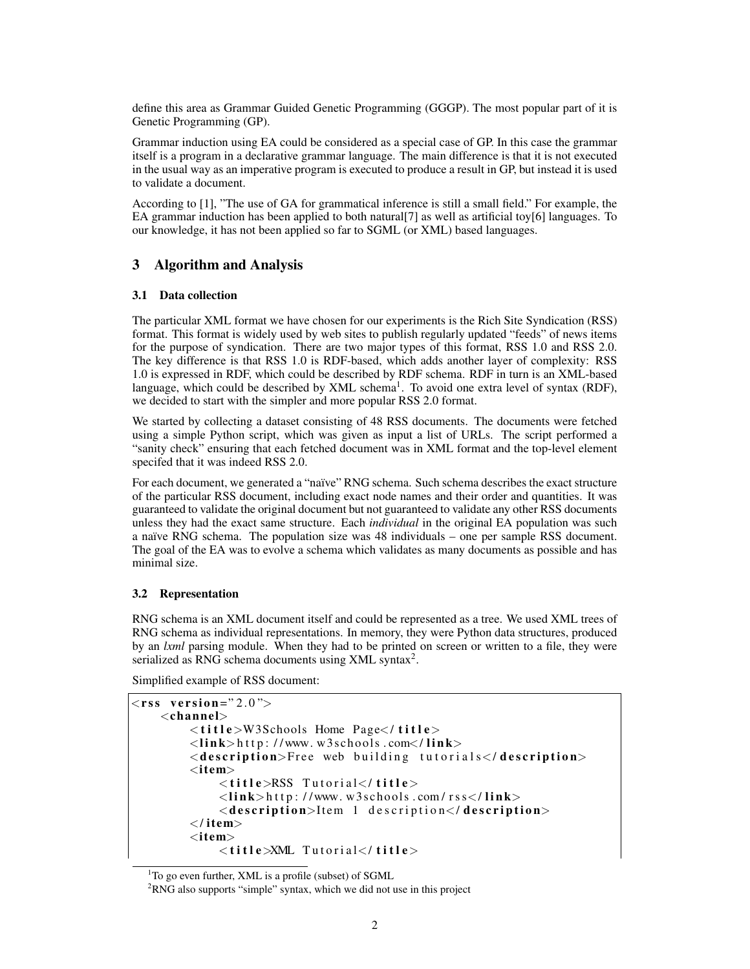define this area as Grammar Guided Genetic Programming (GGGP). The most popular part of it is Genetic Programming (GP).

Grammar induction using EA could be considered as a special case of GP. In this case the grammar itself is a program in a declarative grammar language. The main difference is that it is not executed in the usual way as an imperative program is executed to produce a result in GP, but instead it is used to validate a document.

According to [1], "The use of GA for grammatical inference is still a small field." For example, the EA grammar induction has been applied to both natural[7] as well as artificial toy[6] languages. To our knowledge, it has not been applied so far to SGML (or XML) based languages.

# 3 Algorithm and Analysis

## 3.1 Data collection

The particular XML format we have chosen for our experiments is the Rich Site Syndication (RSS) format. This format is widely used by web sites to publish regularly updated "feeds" of news items for the purpose of syndication. There are two major types of this format, RSS 1.0 and RSS 2.0. The key difference is that RSS 1.0 is RDF-based, which adds another layer of complexity: RSS 1.0 is expressed in RDF, which could be described by RDF schema. RDF in turn is an XML-based language, which could be described by XML schema<sup>1</sup>. To avoid one extra level of syntax (RDF), we decided to start with the simpler and more popular RSS 2.0 format.

We started by collecting a dataset consisting of 48 RSS documents. The documents were fetched using a simple Python script, which was given as input a list of URLs. The script performed a "sanity check" ensuring that each fetched document was in XML format and the top-level element specifed that it was indeed RSS 2.0.

For each document, we generated a "naïve" RNG schema. Such schema describes the exact structure of the particular RSS document, including exact node names and their order and quantities. It was guaranteed to validate the original document but not guaranteed to validate any other RSS documents unless they had the exact same structure. Each *individual* in the original EA population was such a naïve RNG schema. The population size was 48 individuals – one per sample RSS document. The goal of the EA was to evolve a schema which validates as many documents as possible and has minimal size.

## 3.2 Representation

RNG schema is an XML document itself and could be represented as a tree. We used XML trees of RNG schema as individual representations. In memory, they were Python data structures, produced by an *lxml* parsing module. When they had to be printed on screen or written to a file, they were serialized as RNG schema documents using XML syntax<sup>2</sup>.

Simplified example of RSS document:

```
<rss version="2.0">
    <channel>\langletitle>W3Schools Home Page\langle/title\rangle\langlelin k>http://www.w3schools.com\langlelin k>
         \langle description>Free web building tutorials\langle description>
         <item><title>RSS Tutorial</title>\langlelin k>http://www.w3schools.com/rss\langlelin k>
              <description>Item 1 description</description></item><item>\lt title \times XML Tutorial\lt/ title >
```
 $1$ To go even further, XML is a profile (subset) of SGML

<sup>&</sup>lt;sup>2</sup>RNG also supports "simple" syntax, which we did not use in this project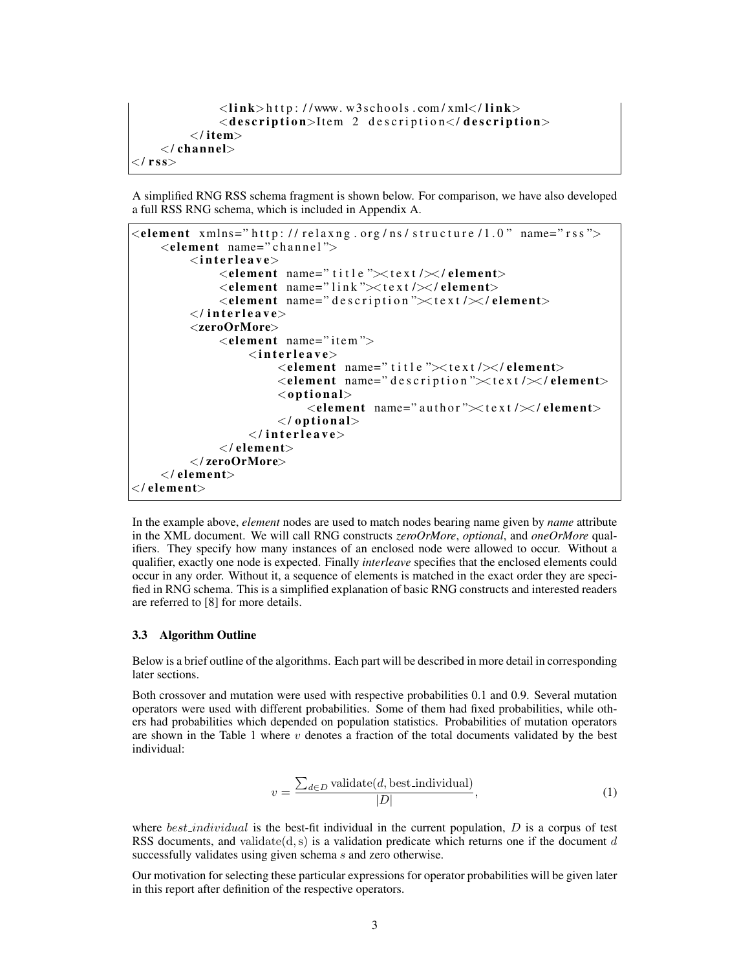```
\langlelink>http://www.w3schools.com/xml\langlelink>
               <description>Item 2 description</description>
          \langle/item>\langle / channel>\langle / rss>
```
A simplified RNG RSS schema fragment is shown below. For comparison, we have also developed a full RSS RNG schema, which is included in Appendix A.



In the example above, *element* nodes are used to match nodes bearing name given by *name* attribute in the XML document. We will call RNG constructs *zeroOrMore*, *optional*, and *oneOrMore* qualifiers. They specify how many instances of an enclosed node were allowed to occur. Without a qualifier, exactly one node is expected. Finally *interleave* specifies that the enclosed elements could occur in any order. Without it, a sequence of elements is matched in the exact order they are specified in RNG schema. This is a simplified explanation of basic RNG constructs and interested readers are referred to [8] for more details.

#### 3.3 Algorithm Outline

Below is a brief outline of the algorithms. Each part will be described in more detail in corresponding later sections.

Both crossover and mutation were used with respective probabilities 0.1 and 0.9. Several mutation operators were used with different probabilities. Some of them had fixed probabilities, while others had probabilities which depended on population statistics. Probabilities of mutation operators are shown in the Table 1 where  $v$  denotes a fraction of the total documents validated by the best individual:

$$
v = \frac{\sum_{d \in D} \text{ validate}(d, \text{best\_individual})}{|D|},\tag{1}
$$

where  $best\_individual$  is the best-fit individual in the current population,  $D$  is a corpus of test RSS documents, and validate $(d,s)$  is a validation predicate which returns one if the document d successfully validates using given schema s and zero otherwise.

Our motivation for selecting these particular expressions for operator probabilities will be given later in this report after definition of the respective operators.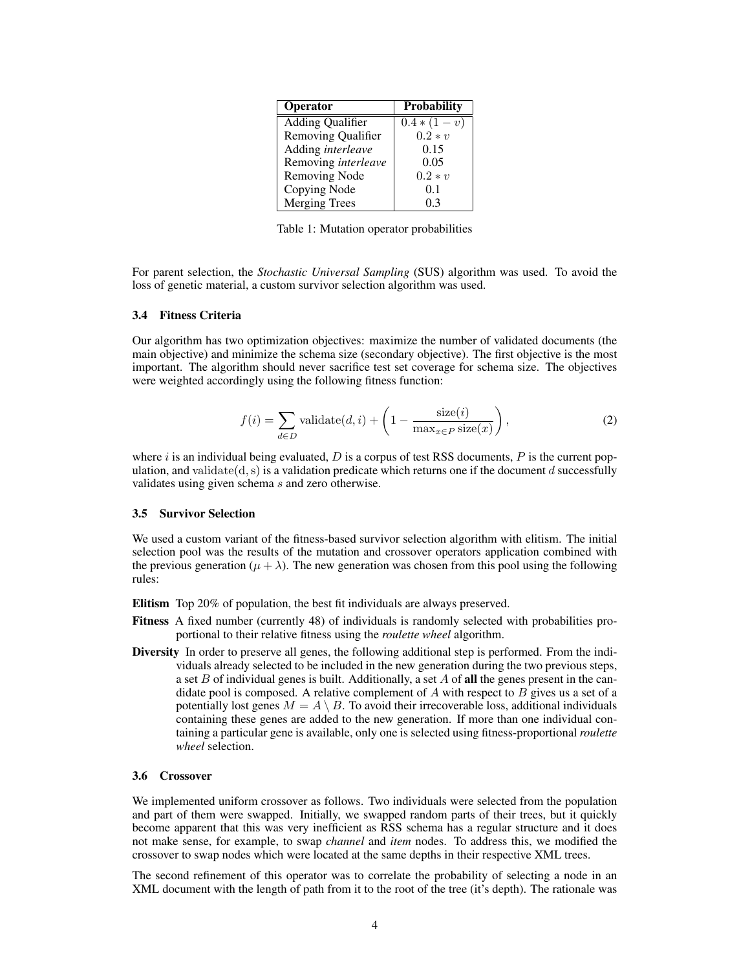| <b>Operator</b>           | <b>Probability</b> |
|---------------------------|--------------------|
| <b>Adding Qualifier</b>   | $0.4*(1-v)$        |
| <b>Removing Qualifier</b> | $0.2 * v$          |
| Adding interleave         | 0.15               |
| Removing interleave       | 0.05               |
| <b>Removing Node</b>      | $0.2 * v$          |
| Copying Node              | 0.1                |
| <b>Merging Trees</b>      | 0.3                |

Table 1: Mutation operator probabilities

For parent selection, the *Stochastic Universal Sampling* (SUS) algorithm was used. To avoid the loss of genetic material, a custom survivor selection algorithm was used.

#### 3.4 Fitness Criteria

Our algorithm has two optimization objectives: maximize the number of validated documents (the main objective) and minimize the schema size (secondary objective). The first objective is the most important. The algorithm should never sacrifice test set coverage for schema size. The objectives were weighted accordingly using the following fitness function:

$$
f(i) = \sum_{d \in D} \text{validate}(d, i) + \left(1 - \frac{\text{size}(i)}{\max_{x \in P} \text{size}(x)}\right),\tag{2}
$$

where  $i$  is an individual being evaluated,  $D$  is a corpus of test RSS documents,  $P$  is the current population, and validate( $d,s$ ) is a validation predicate which returns one if the document d successfully validates using given schema s and zero otherwise.

#### 3.5 Survivor Selection

We used a custom variant of the fitness-based survivor selection algorithm with elitism. The initial selection pool was the results of the mutation and crossover operators application combined with the previous generation ( $\mu + \lambda$ ). The new generation was chosen from this pool using the following rules:

Elitism Top 20% of population, the best fit individuals are always preserved.

- Fitness A fixed number (currently 48) of individuals is randomly selected with probabilities proportional to their relative fitness using the *roulette wheel* algorithm.
- Diversity In order to preserve all genes, the following additional step is performed. From the individuals already selected to be included in the new generation during the two previous steps, a set B of individual genes is built. Additionally, a set A of all the genes present in the candidate pool is composed. A relative complement of  $A$  with respect to  $B$  gives us a set of a potentially lost genes  $M = A \setminus B$ . To avoid their irrecoverable loss, additional individuals containing these genes are added to the new generation. If more than one individual containing a particular gene is available, only one is selected using fitness-proportional *roulette wheel* selection.

#### 3.6 Crossover

We implemented uniform crossover as follows. Two individuals were selected from the population and part of them were swapped. Initially, we swapped random parts of their trees, but it quickly become apparent that this was very inefficient as RSS schema has a regular structure and it does not make sense, for example, to swap *channel* and *item* nodes. To address this, we modified the crossover to swap nodes which were located at the same depths in their respective XML trees.

The second refinement of this operator was to correlate the probability of selecting a node in an XML document with the length of path from it to the root of the tree (it's depth). The rationale was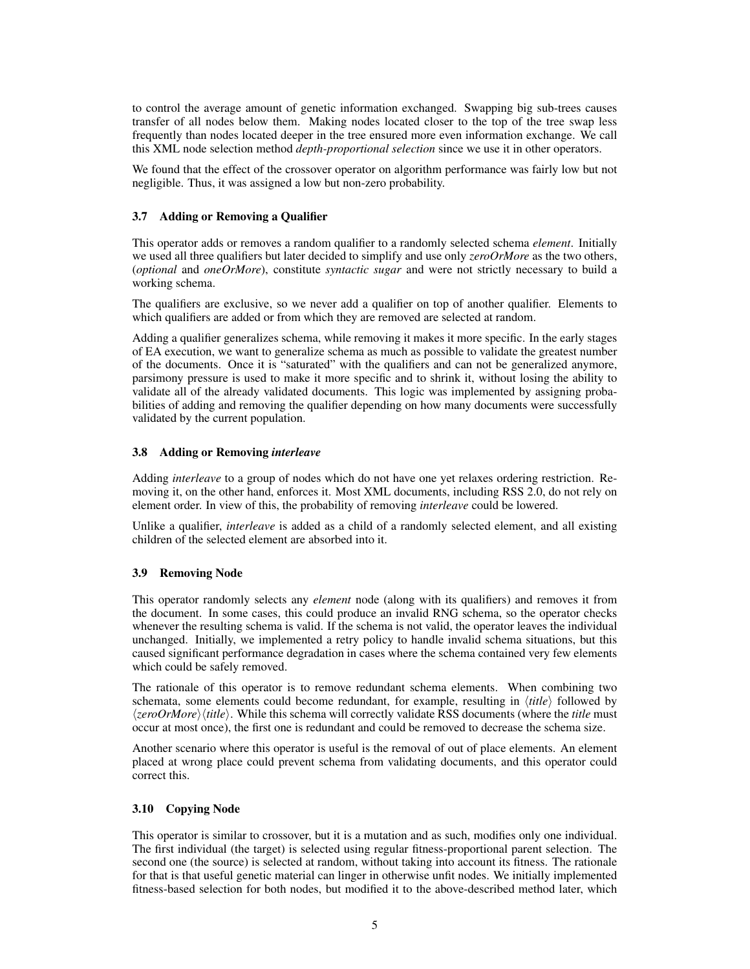to control the average amount of genetic information exchanged. Swapping big sub-trees causes transfer of all nodes below them. Making nodes located closer to the top of the tree swap less frequently than nodes located deeper in the tree ensured more even information exchange. We call this XML node selection method *depth-proportional selection* since we use it in other operators.

We found that the effect of the crossover operator on algorithm performance was fairly low but not negligible. Thus, it was assigned a low but non-zero probability.

## 3.7 Adding or Removing a Qualifier

This operator adds or removes a random qualifier to a randomly selected schema *element*. Initially we used all three qualifiers but later decided to simplify and use only *zeroOrMore* as the two others, (*optional* and *oneOrMore*), constitute *syntactic sugar* and were not strictly necessary to build a working schema.

The qualifiers are exclusive, so we never add a qualifier on top of another qualifier. Elements to which qualifiers are added or from which they are removed are selected at random.

Adding a qualifier generalizes schema, while removing it makes it more specific. In the early stages of EA execution, we want to generalize schema as much as possible to validate the greatest number of the documents. Once it is "saturated" with the qualifiers and can not be generalized anymore, parsimony pressure is used to make it more specific and to shrink it, without losing the ability to validate all of the already validated documents. This logic was implemented by assigning probabilities of adding and removing the qualifier depending on how many documents were successfully validated by the current population.

## 3.8 Adding or Removing *interleave*

Adding *interleave* to a group of nodes which do not have one yet relaxes ordering restriction. Removing it, on the other hand, enforces it. Most XML documents, including RSS 2.0, do not rely on element order. In view of this, the probability of removing *interleave* could be lowered.

Unlike a qualifier, *interleave* is added as a child of a randomly selected element, and all existing children of the selected element are absorbed into it.

## 3.9 Removing Node

This operator randomly selects any *element* node (along with its qualifiers) and removes it from the document. In some cases, this could produce an invalid RNG schema, so the operator checks whenever the resulting schema is valid. If the schema is not valid, the operator leaves the individual unchanged. Initially, we implemented a retry policy to handle invalid schema situations, but this caused significant performance degradation in cases where the schema contained very few elements which could be safely removed.

The rationale of this operator is to remove redundant schema elements. When combining two schemata, some elements could become redundant, for example, resulting in  $\langle title \rangle$  followed by  $\langle zeroOrMore \rangle$  (*title*). While this schema will correctly validate RSS documents (where the *title* must occur at most once), the first one is redundant and could be removed to decrease the schema size.

Another scenario where this operator is useful is the removal of out of place elements. An element placed at wrong place could prevent schema from validating documents, and this operator could correct this.

## 3.10 Copying Node

This operator is similar to crossover, but it is a mutation and as such, modifies only one individual. The first individual (the target) is selected using regular fitness-proportional parent selection. The second one (the source) is selected at random, without taking into account its fitness. The rationale for that is that useful genetic material can linger in otherwise unfit nodes. We initially implemented fitness-based selection for both nodes, but modified it to the above-described method later, which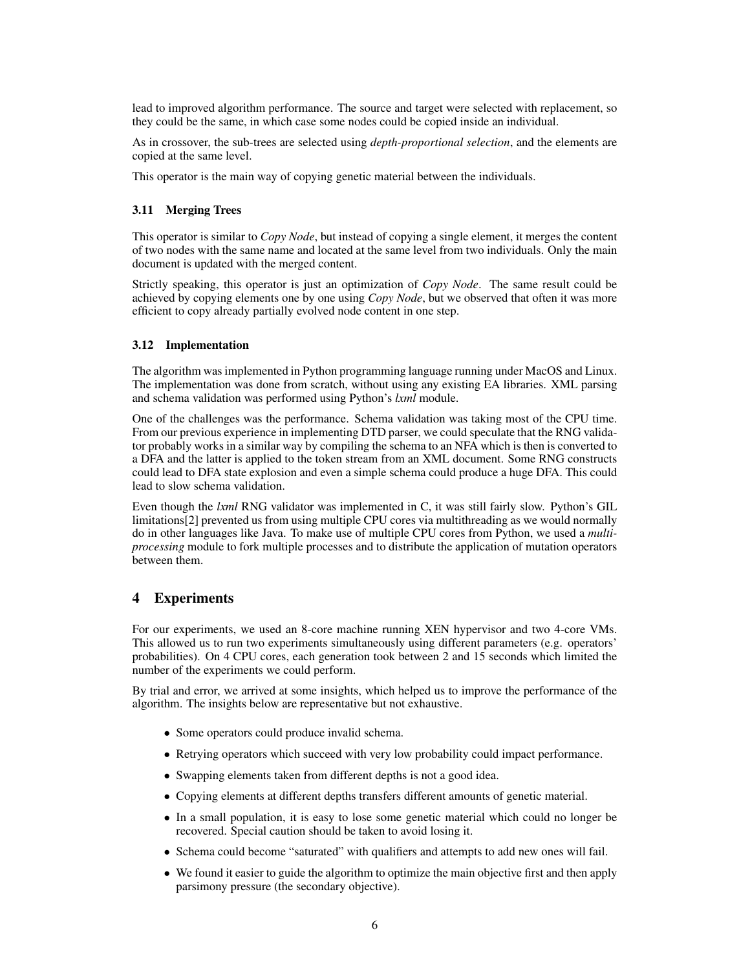lead to improved algorithm performance. The source and target were selected with replacement, so they could be the same, in which case some nodes could be copied inside an individual.

As in crossover, the sub-trees are selected using *depth-proportional selection*, and the elements are copied at the same level.

This operator is the main way of copying genetic material between the individuals.

## 3.11 Merging Trees

This operator is similar to *Copy Node*, but instead of copying a single element, it merges the content of two nodes with the same name and located at the same level from two individuals. Only the main document is updated with the merged content.

Strictly speaking, this operator is just an optimization of *Copy Node*. The same result could be achieved by copying elements one by one using *Copy Node*, but we observed that often it was more efficient to copy already partially evolved node content in one step.

#### 3.12 Implementation

The algorithm was implemented in Python programming language running under MacOS and Linux. The implementation was done from scratch, without using any existing EA libraries. XML parsing and schema validation was performed using Python's *lxml* module.

One of the challenges was the performance. Schema validation was taking most of the CPU time. From our previous experience in implementing DTD parser, we could speculate that the RNG validator probably works in a similar way by compiling the schema to an NFA which is then is converted to a DFA and the latter is applied to the token stream from an XML document. Some RNG constructs could lead to DFA state explosion and even a simple schema could produce a huge DFA. This could lead to slow schema validation.

Even though the *lxml* RNG validator was implemented in C, it was still fairly slow. Python's GIL limitations[2] prevented us from using multiple CPU cores via multithreading as we would normally do in other languages like Java. To make use of multiple CPU cores from Python, we used a *multiprocessing* module to fork multiple processes and to distribute the application of mutation operators between them.

# 4 Experiments

For our experiments, we used an 8-core machine running XEN hypervisor and two 4-core VMs. This allowed us to run two experiments simultaneously using different parameters (e.g. operators' probabilities). On 4 CPU cores, each generation took between 2 and 15 seconds which limited the number of the experiments we could perform.

By trial and error, we arrived at some insights, which helped us to improve the performance of the algorithm. The insights below are representative but not exhaustive.

- Some operators could produce invalid schema.
- Retrying operators which succeed with very low probability could impact performance.
- Swapping elements taken from different depths is not a good idea.
- Copying elements at different depths transfers different amounts of genetic material.
- In a small population, it is easy to lose some genetic material which could no longer be recovered. Special caution should be taken to avoid losing it.
- Schema could become "saturated" with qualifiers and attempts to add new ones will fail.
- We found it easier to guide the algorithm to optimize the main objective first and then apply parsimony pressure (the secondary objective).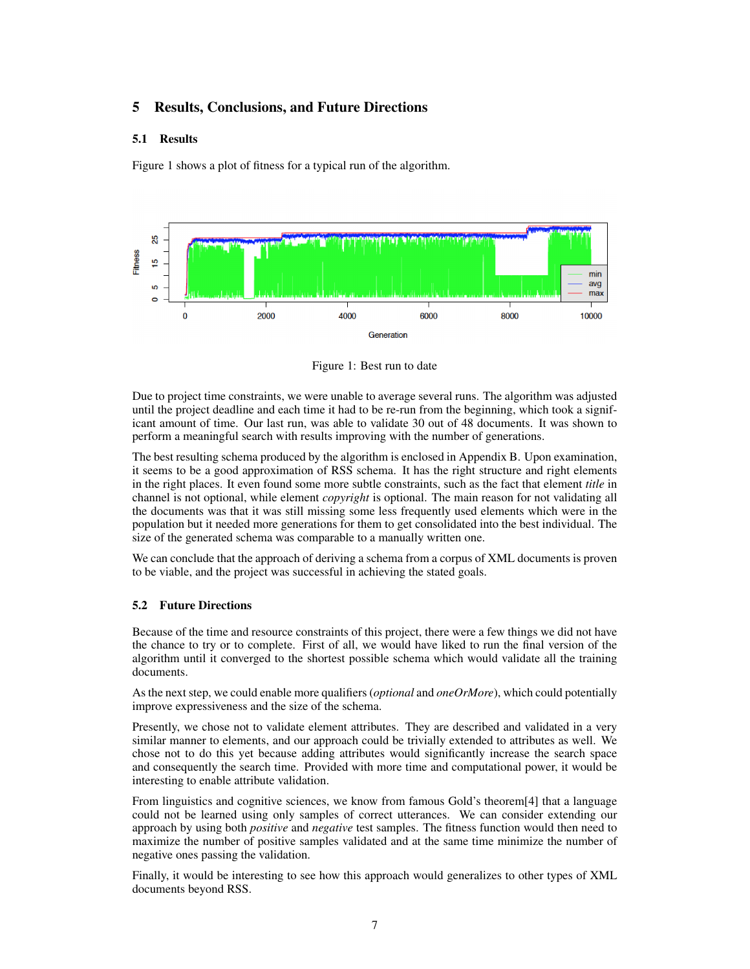# 5 Results, Conclusions, and Future Directions

## 5.1 Results

Figure 1 shows a plot of fitness for a typical run of the algorithm.



Figure 1: Best run to date

Due to project time constraints, we were unable to average several runs. The algorithm was adjusted until the project deadline and each time it had to be re-run from the beginning, which took a significant amount of time. Our last run, was able to validate 30 out of 48 documents. It was shown to perform a meaningful search with results improving with the number of generations.

The best resulting schema produced by the algorithm is enclosed in Appendix B. Upon examination, it seems to be a good approximation of RSS schema. It has the right structure and right elements in the right places. It even found some more subtle constraints, such as the fact that element *title* in channel is not optional, while element *copyright* is optional. The main reason for not validating all the documents was that it was still missing some less frequently used elements which were in the population but it needed more generations for them to get consolidated into the best individual. The size of the generated schema was comparable to a manually written one.

We can conclude that the approach of deriving a schema from a corpus of XML documents is proven to be viable, and the project was successful in achieving the stated goals.

## 5.2 Future Directions

Because of the time and resource constraints of this project, there were a few things we did not have the chance to try or to complete. First of all, we would have liked to run the final version of the algorithm until it converged to the shortest possible schema which would validate all the training documents.

As the next step, we could enable more qualifiers (*optional* and *oneOrMore*), which could potentially improve expressiveness and the size of the schema.

Presently, we chose not to validate element attributes. They are described and validated in a very similar manner to elements, and our approach could be trivially extended to attributes as well. We chose not to do this yet because adding attributes would significantly increase the search space and consequently the search time. Provided with more time and computational power, it would be interesting to enable attribute validation.

From linguistics and cognitive sciences, we know from famous Gold's theorem[4] that a language could not be learned using only samples of correct utterances. We can consider extending our approach by using both *positive* and *negative* test samples. The fitness function would then need to maximize the number of positive samples validated and at the same time minimize the number of negative ones passing the validation.

Finally, it would be interesting to see how this approach would generalizes to other types of XML documents beyond RSS.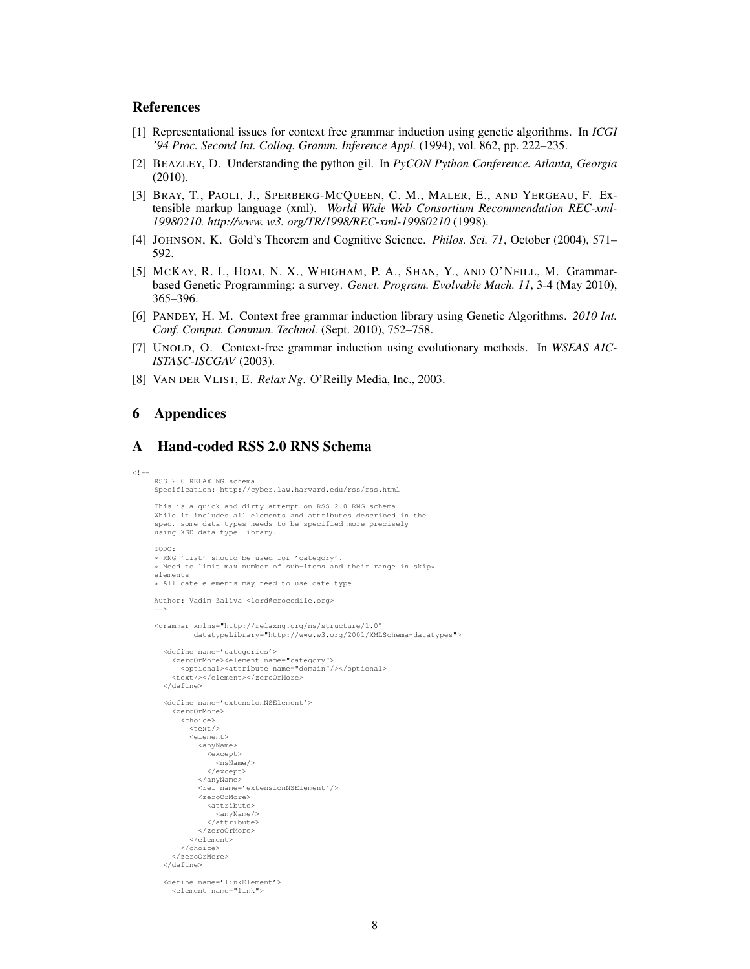## References

- [1] Representational issues for context free grammar induction using genetic algorithms. In *ICGI '94 Proc. Second Int. Colloq. Gramm. Inference Appl.* (1994), vol. 862, pp. 222–235.
- [2] BEAZLEY, D. Understanding the python gil. In *PyCON Python Conference. Atlanta, Georgia* (2010).
- [3] BRAY, T., PAOLI, J., SPERBERG-MCQUEEN, C. M., MALER, E., AND YERGEAU, F. Extensible markup language (xml). *World Wide Web Consortium Recommendation REC-xml-19980210. http://www. w3. org/TR/1998/REC-xml-19980210* (1998).
- [4] JOHNSON, K. Gold's Theorem and Cognitive Science. *Philos. Sci. 71*, October (2004), 571– 592.
- [5] MCKAY, R. I., HOAI, N. X., WHIGHAM, P. A., SHAN, Y., AND O'NEILL, M. Grammarbased Genetic Programming: a survey. *Genet. Program. Evolvable Mach. 11*, 3-4 (May 2010), 365–396.
- [6] PANDEY, H. M. Context free grammar induction library using Genetic Algorithms. *2010 Int. Conf. Comput. Commun. Technol.* (Sept. 2010), 752–758.
- [7] UNOLD, O. Context-free grammar induction using evolutionary methods. In *WSEAS AIC-ISTASC-ISCGAV* (2003).
- [8] VAN DER VLIST, E. *Relax Ng*. O'Reilly Media, Inc., 2003.

## 6 Appendices

## A Hand-coded RSS 2.0 RNS Schema

```
<! --
    RSS 2.0 RELAX NG schema
    Specification: http://cyber.law.harvard.edu/rss/rss.html
    This is a quick and dirty attempt on RSS 2.0 RNG schema.
    While it includes all elements and attributes described in the
    spec, some data types needs to be specified more precisely
    using XSD data type library.
    TODO:
    * RNG 'list' should be used for 'category'.
    * Need to limit max number of sub-items and their range in skip*
    elements
    * All date elements may need to use date type
    Author: Vadim Zaliva <lord@crocodile.org>
     -->
     <grammar xmlns="http://relaxng.org/ns/structure/1.0"
             datatypeLibrary="http://www.w3.org/2001/XMLSchema-datatypes">
       <define name='categories'>
         <zeroOrMore><element name="category">
           <optional><attribute name="domain"/></optional>
         <text/></element></zeroOrMore>
       </define>
       <define name='extensionNSElement'>
         <zeroOrMore>
           <choice>
             <text/><element>
               <anyName>
                <except>
                  <nsName/>
                </except>
               </anyName>
               <ref name='extensionNSElement'/>
               <zeroOrMore>
                <attribute>
                   <anyName/>
                </attribute>
               </zeroOrMore>
             </element>
           </choice>
         </zeroOrMore>
       </define>
       <define name='linkElement'>
         <element name="link">
```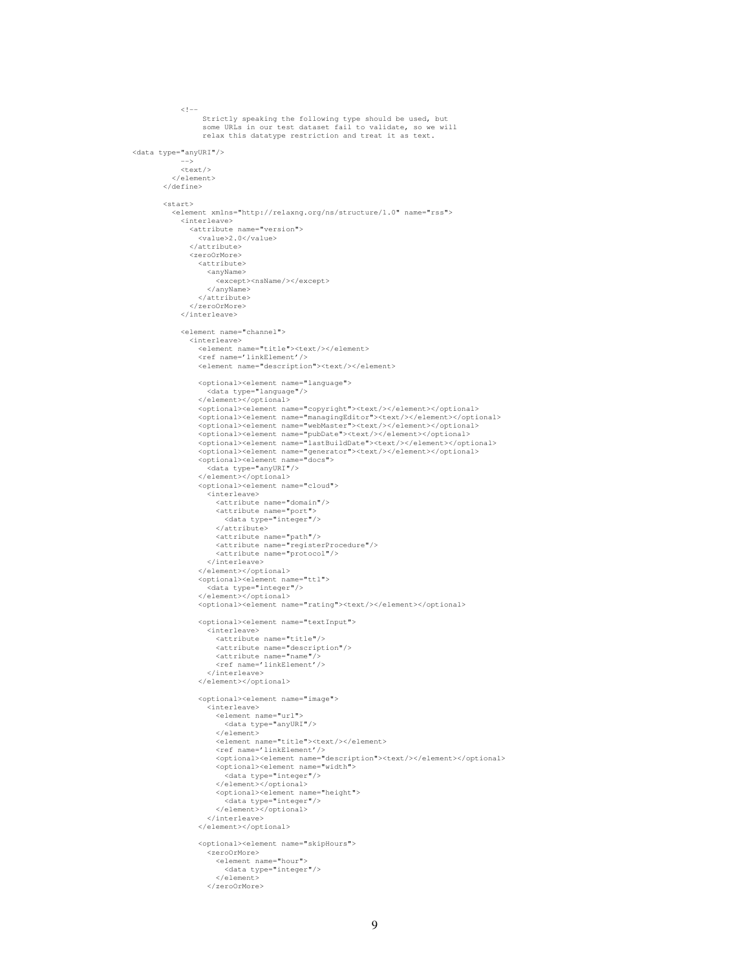```
<! --Strictly speaking the following type should be used, but
some URLs in our test dataset fail to validate, so we will
                   relax this datatype restriction and treat it as text.
<data type="anyURI"/>
             -->
            <text/></element>
        </define>
        <start>
           <element xmlns="http://relaxng.org/ns/structure/1.0" name="rss">
             <interleave>
               <attribute name="version">
                  <value>2.0</value>
                </attribute>
               <zeroOrMore>
                  <attribute>
                    <anyName>
                       <except><nsName/></except>
                    </anyName>
                  </attribute>
               </zeroOrMore>
             </interleave>
             <element name="channel">
               <interleave>
                  <element name="title"><text/></element>
                  <ref name='linkElement'/><br><element name="description"><text/></element>
                  <optional><element name="language">
                    <data type="language"/>
                  </element></optional>
                  <optional><element name="copyright"><text/></element></optional>
<optional><element name="managingEditor"><text/></element></optional>
                  <br/>optional><element name="webMaster"><text/></element></optional>
                  <optional><element name="pubDate"><text/></element></optional>
<optional><element name="lastBuildDate"><text/></element></optional>
                  <optional><element name="generator"><text/></element></optional>
                  <optional><element name="docs">
                     .<br><data type="anyURI"/>
                  </element></optional>
                  <optional><element name="cloud">
                     .<br><interleave>
                       <attribute name="domain"/>
                       <attribute name="port">
                         <data type="integer"/>
                       </attribute>
                       <attribute name="path"/>
                       <attribute name="registerProcedure"/>
                       <attribute name="protocol"/>
                     </interleave>
                  </element></optional>
<optional><element name="ttl">
                     <data type="integer"/>
                  </element></optional>
                  </optional><element name="rating"><text/>>t/></element></optional>
                  <optional><element name="textInput">
                    .<br><interleave>
                       <attribute name="title"/>
                       <attribute name="description"/>
                       <attribute name="name"/>
                     <ref name='linkElement'/>
</interleave>
                  </element></optional>
                  <optional><element name="image">
                     .<br><interleave>
                       <element name="url">
                         <data type="anyURI"/>
                       </element>
                       <element name="title"><text/></element><br><ref name='linkElement'/><br><optional><element name="description"><text/></element></optional><br><optional><element name="width">
                          .<br><data type="integer"/>
                       </element></optional>
<optional><element name="height">
                          <data type="integer"/>
                       </element></optional>
                     </interleave>
                  </element></optional>
                  <optional><element name="skipHours">
                     <zeroOrMore>
                       <element name="hour">
                         <data type="integer"/>
                       \epsilon/element>
                    </zeroOrMore>
```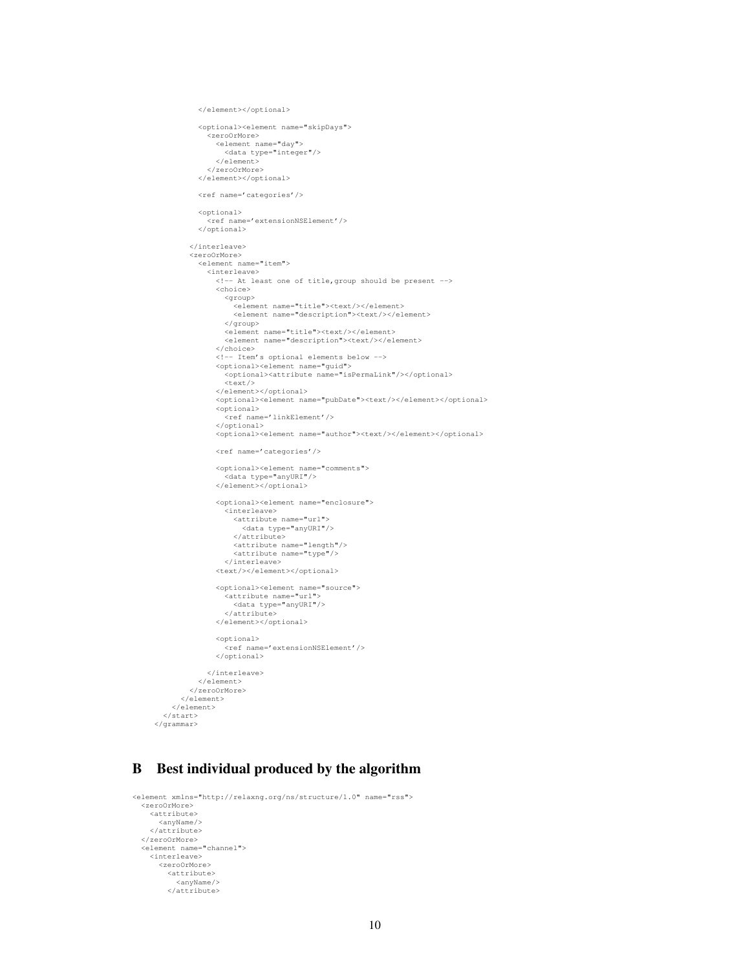```
</element></optional>
           <optional><element name="skipDays">
              <zeroOrMore>
                <element name="day">
<data type="integer"/>
               </element>
           </zeroOrMore>
</element></optional>
           <ref name='categories'/>
           <optional>
             <ref name='extensionNSElement'/>
           </optional>
         </interleave>
         <zeroOrMore>
           <element name="item">
             <interleave>
                <!-- At least one of title,group should be present -->
               <choice>
                  <group>
                    <element name="title"><text/></element>
                    <element name="description"><text/></element>
                  </group>
                  <element name="title"><text/></element>
<element name="description"><text/></element>
                </choice>
                <!-- Item's optional elements below -->
<optional><element name="guid">
                  <optional><attribute name="isPermaLink"/></optional>
                  <text/>
                </element></optional>
                <optional><element name="pubDate"><text/></element></optional>
                <optional>
                  <ref name='linkElement'/>
                </optional>
               <optional><element name="author"><text/></element></optional>
                <ref name='categories'/>
                <optional><element name="comments">
                  <data type="anyURI"/>
                </element></optional>
                <optional><element name="enclosure">
                  .<br><interleave>
                    <attribute name="url">
                     <data type="anyURI"/>
</attribute>
                     <attribute name="length"/>
<attribute name="type"/>
                  </interleave>
               <text/>>>/element></optional>
                <optional><element name="source">
                  -<br><attribute name="url">
                    <data type="anyURI"/>
                  </attribute>
               </element></optional>
               <optional>
                  .<br><ref name='extensionNSElement'/>
               </optional>
             </interleave>
           </element>
         </zeroOrMore>
      </element>
    </element>
  </start>
</grammar>
```
# B Best individual produced by the algorithm

```
<element xmlns="http://relaxng.org/ns/structure/1.0" name="rss">
  <zeroOrMore>
    <attribute>
      \langleanyName/</attribute>
  </zeroOrMore>
  <element name="channel">
<interleave>
      <zeroOrMore>
        <attribute>
           <anyName/>
        </attribute>
```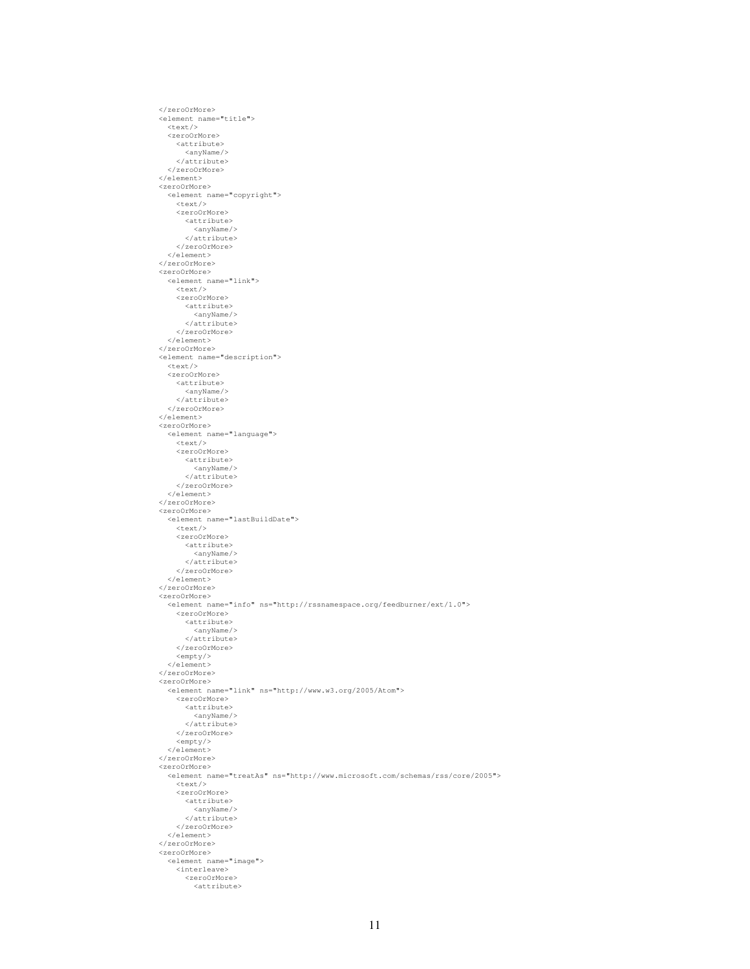</zeroOrMore> <element name="title"> <text/> <zeroOrMore> <attribute> <anyName/> </attribute> </zeroOrMore> </element> <zeroOrMore> <element name="copyright"> <text/> <zeroOrMore> <attribute> <anyName/> </attribute> </zeroOrMore> </element> </zeroOrMore> <zeroOrMore> <element name="link"> <text/> <zeroOrMore> <attribute> <anyName/> </attribute> </zeroOrMore> </element> </zeroOrMore> <element name="description"> <text/> <zeroOrMore> <attribute> <anyName/> </attribute> </zeroOrMore> </element> <zeroOrMore> <element name="language"> <text/> <zeroOrMore> <attribute>  $\langle$ anyName/> </attribute> </zeroOrMore> </element> </zeroOrMore> <zeroOrMore> <element name="lastBuildDate"> <text/> <zeroOrMore> <attribute> <anyName/> </attribute> </zeroOrMore> </element> </zeroOrMore> <zeroOrMore> <element name="info" ns="http://rssnamespace.org/feedburner/ext/1.0"> <zeroOrMore> <attribute> <anyName/>  $\langle$ attribute> </zeroOrMore> <empty/> </element> </zeroOrMore> <zeroOrMore> <element name="link" ns="http://www.w3.org/2005/Atom"> <zeroOrMore> <attribute>  $\langle$ anyName $/$ </attribute> </zeroOrMore> <empty/> </element> </zeroOrMore> <zeroOrMore> <element name="treatAs" ns="http://www.microsoft.com/schemas/rss/core/2005">  $<$ text/> <zeroOrMore> <attribute> <anyName/></attribute> </zeroOrMore> </element> </zeroOrMore> <zeroOrMore> <element name="image"> <interleave> <zeroOrMore> <attribute>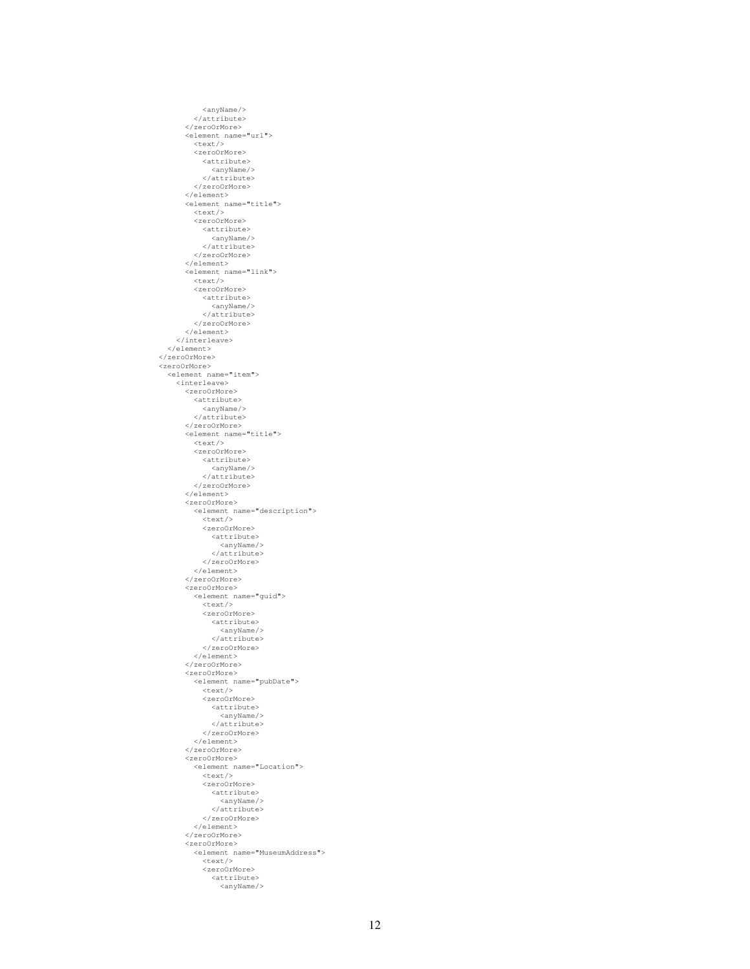<anyName/> </attribute> </zeroOrMore> <element name="url"> <text/> <zeroOrMore> <attribute> <anyName/> </attribute> </zeroOrMore> </element> <element name="title"> <text/> <zeroOrMore> <attribute> <anyName/></attribute> </zeroOrMore> </element><br><element name="link"><br><text/> <zeroOrMore> <attribute> <anyName/> </attribute> </zeroOrMore> </element> </interleave> </element> </zeroOrMore> <zeroOrMore> <element name="item"> <interleave> <zeroOrMore> <attribute> <anyName/></attribute> </zeroOrMore> <element name="title"> <text/> <zeroOrMore> <attribute> <anyName/> </attribute> </zeroOrMore> </element> <zeroOrMore> <element name="description"> <text/> <zeroOrMore> <attribute> <anyName/> </attribute> </zeroOrMore>  $\langle$ element> </zeroOrMore> <zeroOrMore> <element name="guid"> <text/> <zeroOrMore> <attribute>  $\langle$ anyName/> </attribute> </zeroOrMore> </element> </zeroOrMore> <zeroOrMore> <element name="pubDate"> <text/> <zeroOrMore> <attribute> <anyName/> </attribute> </zeroOrMore>  $\langle$ /element> </zeroOrMore> <zeroOrMore> <element name="Location"> <text/> <zeroOrMore> <attribute> <anyName/> </attribute> </zeroOrMore> </element> </zeroOrMore> <zeroOrMore> <element name="MuseumAddress"> <text/> <zeroOrMore> <attribute>  $\langle$ anyName $/$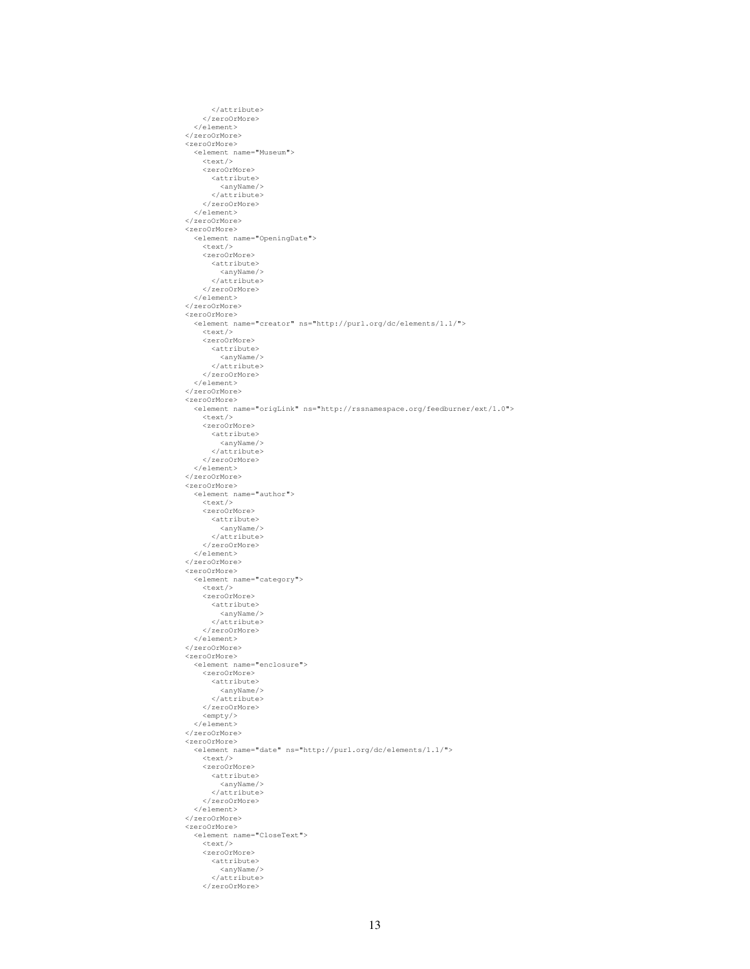</attribute> </zeroOrMore> </element> </zeroOrMore> <zeroOrMore> <element name="Museum"> <text/> <zeroOrMore> <attribute> <anyName/> </attribute> </zeroOrMore> </element> </zeroOrMore> <zeroOrMore><br>
<element name="OpeningDate"><br>
<text/> <zeroOrMore> <attribute> <anyName/> </attribute> </zeroOrMore> </element> </zeroOrMore> <zeroOrMore> <element name="creator" ns="http://purl.org/dc/elements/1.1/"> <text/> <zeroOrMore> <attribute> <anyName/> </attribute> </zeroOrMore> </element> </zeroOrMore> <zeroOrMore> <element name="origLink" ns="http://rssnamespace.org/feedburner/ext/1.0"> <text/> <zeroOrMore> <attribute> <anyName/> </attribute> </zeroOrMore> </element> </zeroOrMore> <zeroOrMore> <element name="author"> <text/> <zeroOrMore> <attribute> <anyName/> </attribute> </zeroOrMore> </element> </zeroOrMore> <zeroOrMore> <element name="category"> <text/> <zeroOrMore> <attribute> <anyName/> </attribute> </zeroOrMore> </element> </zeroOrMore> <zeroOrMore> <element name="enclosure"> <zeroOrMore> <attribute> <anyName/> </attribute> </zeroOrMore> <empty/> </element> </zeroOrMore> <zeroOrMore><br>
<element name="date" ns="http://purl.org/dc/elements/1.1/"> <text/> <zeroOrMore> <attribute> <anyName/> </attribute> </zeroOrMore> </element> </zeroOrMore> <zeroOrMore> <element name="CloseText"> <text/> <zeroOrMore> <attribute> <anyName/> </attribute> </zeroOrMore>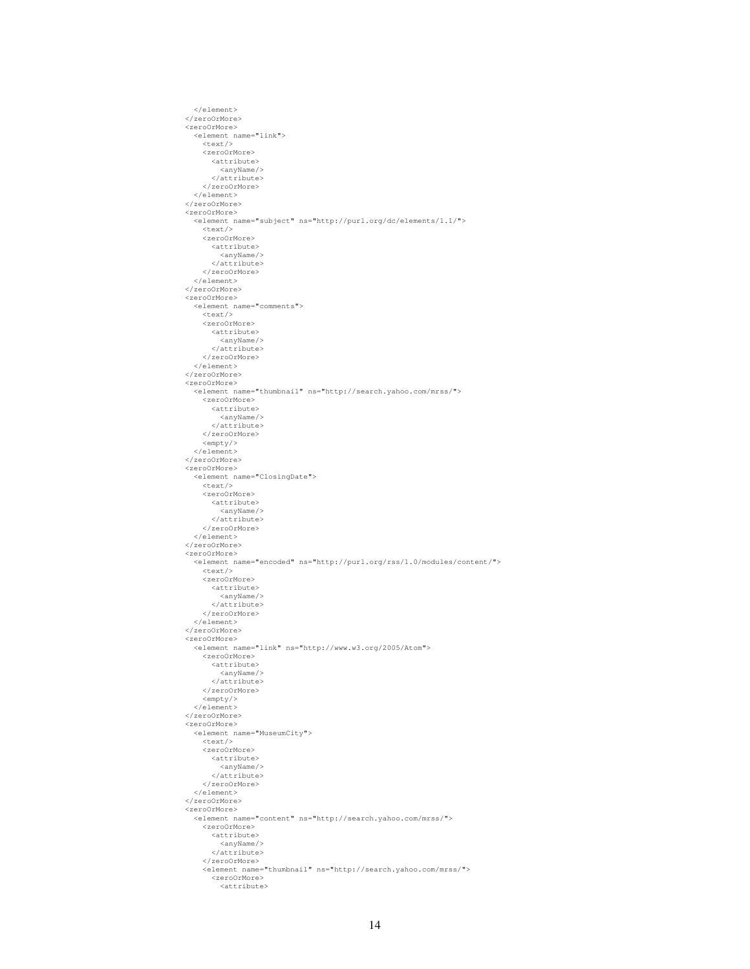```
</element>
</zeroOrMore>
<zeroOrMore>
<element name="link">
    <text/>
    <zeroOrMore>
      <attribute>
       <anyName/>
</attribute>
    </zeroOrMore>
  </element>
</zeroOrMore>
<zeroOrMore><br><element name="subject" ns="http://purl.org/dc/elements/1.1/">
    <text/>
    <zeroOrMore>
      <attribute>
        <anyName/>
      </attribute>
    </zeroOrMore>
  </element>
</zeroOrMore>
<zeroOrMore>
  <element name="comments">
    <text/><zeroOrMore>
      <attribute>
        <anyName/>
      </attribute>
  </zeroOrMore>
</element>
</zeroOrMore>
<zeroOrMore>
  <element name="thumbnail" ns="http://search.yahoo.com/mrss/">
    <zeroOrMore>
      <attribute>
        <anyName/>
      </attribute>
    </zeroOrMore>
    <empty/>
  </element>
</zeroOrMore>
<zeroOrMore>
  <element name="ClosingDate">
    <text/>
    <zeroOrMore>
      <attribute>
        <anyName/>
      </attribute>
    </zeroOrMore>
  </element>
</zeroOrMore>
<zeroOrMore>
  <element name="encoded" ns="http://purl.org/rss/1.0/modules/content/">
    <text/>
<zeroOrMore>
      <attribute>
        <anyName/>
      </attribute>
    </zeroOrMore>
  </element>
</zeroOrMore>
<zeroOrMore>
  <element name="link" ns="http://www.w3.org/2005/Atom">
   <zeroOrMore>
      <attribute>
        <anyName/>
      </attribute>
    </zeroOrMore>
    <empty/>
  </element>
</zeroOrMore>
<zeroOrMore>
  <element name="MuseumCity">
    <text/>
    <zeroOrMore>
      <attribute>
        <anyName/>
      </attribute>
    </zeroOrMore>
  </element>
</zeroOrMore>
<zeroOrMore><br>
<element name="content" ns="http://search.yahoo.com/mrss/">
    <zeroOrMore>
      <attribute>
        <anyName/>
      </attribute>
    </zeroOrMore>
    <element name="thumbnail" ns="http://search.yahoo.com/mrss/">
      <zeroOrMore>
        <attribute>
```